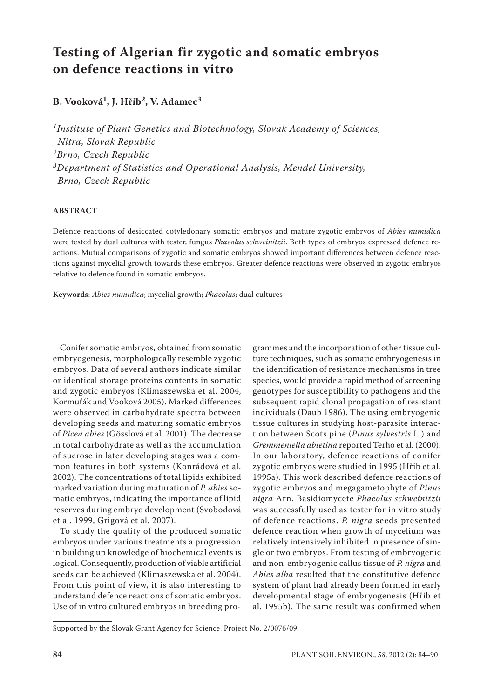# **Testing of Algerian fir zygotic and somatic embryos on defence reactions in vitro**

## **B. Vooková1, J. Hřib2, V. Adamec3**

*1Institute of Plant Genetics and Biotechnology, Slovak Academy of Sciences, Nitra, Slovak Republic 2Brno, Czech Republic 3Department of Statistics and Operational Analysis, Mendel University, Brno, Czech Republic*

### **ABSTRACT**

Defence reactions of desiccated cotyledonary somatic embryos and mature zygotic embryos of *Abies numidica* were tested by dual cultures with tester, fungus *Phaeolus schweinitzii*. Both types of embryos expressed defence reactions. Mutual comparisons of zygotic and somatic embryos showed important differences between defence reactions against mycelial growth towards these embryos. Greater defence reactions were observed in zygotic embryos relative to defence found in somatic embryos.

**Keywords**: *Abies numidica*; mycelial growth; *Phaeolus*; dual cultures

Conifer somatic embryos, obtained from somatic embryogenesis, morphologically resemble zygotic embryos. Data of several authors indicate similar or identical storage proteins contents in somatic and zygotic embryos (Klimaszewska et al. 2004, Kormuťák and Vooková 2005). Marked differences were observed in carbohydrate spectra between developing seeds and maturing somatic embryos of *Picea abies* (Gösslová et al. 2001). The decrease in total carbohydrate as well as the accumulation of sucrose in later developing stages was a common features in both systems (Konrádová et al. 2002). The concentrations of total lipids exhibited marked variation during maturation of *P. abies* somatic embryos, indicating the importance of lipid reserves during embryo development (Svobodová et al. 1999, Grigová et al. 2007).

To study the quality of the produced somatic embryos under various treatments a progression in building up knowledge of biochemical events is logical. Consequently, production of viable artificial seeds can be achieved (Klimaszewska et al. 2004). From this point of view, it is also interesting to understand defence reactions of somatic embryos. Use of in vitro cultured embryos in breeding pro-

grammes and the incorporation of other tissue culture techniques, such as somatic embryogenesis in the identification of resistance mechanisms in tree species, would provide a rapid method of screening genotypes for susceptibility to pathogens and the subsequent rapid clonal propagation of resistant individuals (Daub 1986). The using embryogenic tissue cultures in studying host-parasite interaction between Scots pine (*Pinus sylvestris* L.) and *Gremmeniella abietina* reported Terho et al. (2000). In our laboratory, defence reactions of conifer zygotic embryos were studied in 1995 (Hřib et al. 1995a). This work described defence reactions of zygotic embryos and megagametophyte of *Pinus nigra* Arn. Basidiomycete *Phaeolus schweinitzii*  was successfully used as tester for in vitro study of defence reactions. *P. nigra* seeds presented defence reaction when growth of mycelium was relatively intensively inhibited in presence of single or two embryos. From testing of embryogenic and non-embryogenic callus tissue of *P. nigra* and *Abies alba* resulted that the constitutive defence system of plant had already been formed in early developmental stage of embryogenesis (Hřib et al. 1995b). The same result was confirmed when

Supported by the Slovak Grant Agency for Science, Project No. 2/0076/09.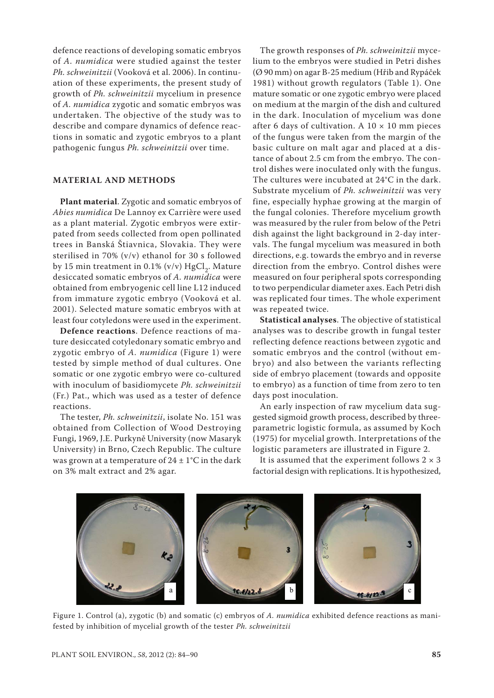defence reactions of developing somatic embryos of *A. numidica* were studied against the tester *Ph. schweinitzii* (Vooková et al. 2006). In continuation of these experiments, the present study of growth of *Ph. schweinitzii* mycelium in presence of *A. numidica* zygotic and somatic embryos was undertaken. The objective of the study was to describe and compare dynamics of defence reactions in somatic and zygotic embryos to a plant pathogenic fungus *Ph. schweinitzii* over time.

#### **MATERIAL AND METHODS**

**Plant material**. Zygotic and somatic embryos of *Abies numidica* De Lannoy ex Carrière were used as a plant material. Zygotic embryos were extirpated from seeds collected from open pollinated trees in Banská Štiavnica, Slovakia. They were sterilised in 70% (v/v) ethanol for 30 s followed by 15 min treatment in 0.1% (v/v)  $HgCl<sub>2</sub>$ . Mature desiccated somatic embryos of *A. numidica* were obtained from embryogenic cell line L12 induced from immature zygotic embryo (Vooková et al. 2001). Selected mature somatic embryos with at least four cotyledons were used in the experiment.

**Defence reactions**. Defence reactions of mature desiccated cotyledonary somatic embryo and zygotic embryo of *A. numidica* (Figure 1) were tested by simple method of dual cultures. One somatic or one zygotic embryo were co-cultured with inoculum of basidiomycete *Ph. schweinitzii* (Fr.) Pat., which was used as a tester of defence reactions.

The tester, *Ph. schweinitzii*, isolate No. 151 was obtained from Collection of Wood Destroying Fungi, 1969, J.E. Purkyně University (now Masaryk University) in Brno, Czech Republic. The culture was grown at a temperature of  $24 \pm 1$ °C in the dark on 3% malt extract and 2% agar.

The growth responses of *Ph. schweinitzii* mycelium to the embryos were studied in Petri dishes (Ø 90 mm) on agar B-25 medium (Hřib and Rypáček 1981) without growth regulators (Table 1). One mature somatic or one zygotic embryo were placed on medium at the margin of the dish and cultured in the dark. Inoculation of mycelium was done after 6 days of cultivation. A  $10 \times 10$  mm pieces of the fungus were taken from the margin of the basic culture on malt agar and placed at a distance of about 2.5 cm from the embryo. The control dishes were inoculated only with the fungus. The cultures were incubated at 24°C in the dark. Substrate mycelium of *Ph. schweinitzii* was very fine, especially hyphae growing at the margin of the fungal colonies. Therefore mycelium growth was measured by the ruler from below of the Petri dish against the light background in 2-day intervals. The fungal mycelium was measured in both directions, e.g. towards the embryo and in reverse direction from the embryo. Control dishes were measured on four peripheral spots corresponding to two perpendicular diameter axes. Each Petri dish was replicated four times. The whole experiment was repeated twice.

**Statistical analyses**. The objective of statistical analyses was to describe growth in fungal tester reflecting defence reactions between zygotic and somatic embryos and the control (without embryo) and also between the variants reflecting side of embryo placement (towards and opposite to embryo) as a function of time from zero to ten days post inoculation.

An early inspection of raw mycelium data suggested sigmoid growth process, described by threeparametric logistic formula, as assumed by Koch (1975) for mycelial growth. Interpretations of the logistic parameters are illustrated in Figure 2.

It is assumed that the experiment follows  $2 \times 3$ factorial design with replications. It is hypothesized, a



Figure 1. Control (a), zygotic (b) and somatic (c) embryos of *A. numidica* exhibited defence reactions as manifested by inhibition of mycelial growth of the tester *Ph. schweinitzii*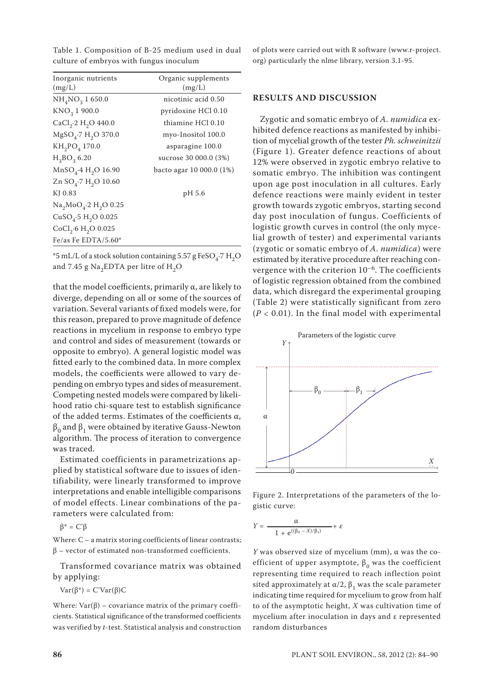Table 1. Composition of B-25 medium used in dual culture of embryos with fungus inoculum

| Inorganic nutrients                 | Organic supplements      |
|-------------------------------------|--------------------------|
| (mg/L)                              | (mg/L)                   |
|                                     |                          |
| $NH_{4}NO_{3}$ 1 650.0              | nicotinic acid 0.50      |
| $KNO_3$ 1 900.0                     | pyridoxine HCl 0.10      |
| $CaCl2·2 H2O 440.0$                 | thiamine HCl 0.10        |
| $MgSO4·7 H2O 370.0$                 | myo-Inositol 100.0       |
| $KH_{2}PO_{4}$ 170.0                | asparagine 100.0         |
| $H_3BO_3 6.20$                      | sucrose 30 000.0 (3%)    |
| $MnSO4·4 H2O 16.90$                 | bacto agar 10 000.0 (1%) |
| Zn $SO_4$ -7 H <sub>2</sub> O 10.60 |                          |
| KJ 0.83                             | pH 5.6                   |
| $Na2MoO4·2 H2O 0.25$                |                          |
| $CuSO4·5 H2O 0.025$                 |                          |
| $CoCl2·6 H2O 0.025$                 |                          |
| Fe/as Fe EDTA/5.60 $*$              |                          |

 $*5$  mL/L of a stock solution containing 5.57 g FeSO<sub>4</sub>.7 H<sub>2</sub>O and 7.45 g Na<sub>2</sub>EDTA per litre of  $H_2O$ 

that the model coefficients, primarily  $\alpha$ , are likely to diverge, depending on all or some of the sources of variation. Several variants of fixed models were, for this reason, prepared to prove magnitude of defence reactions in mycelium in response to embryo type and control and sides of measurement (towards or opposite to embryo). A general logistic model was fitted early to the combined data. In more complex models, the coefficients were allowed to vary depending on embryo types and sides of measurement. Competing nested models were compared by likelihood ratio chi-square test to establish significance of the added terms. Estimates of the coefficients  $\alpha$ ,  $β<sub>0</sub>$  and  $β<sub>1</sub>$  were obtained by iterative Gauss-Newton algorithm. The process of iteration to convergence was traced.

Estimated coefficients in parametrizations applied by statistical software due to issues of identifiability, were linearly transformed to improve interpretations and enable intelligible comparisons of model effects. Linear combinations of the parameters were calculated from:

β\* = C'β

Where:  $C - a$  matrix storing coefficients of linear contrasts; β – vector of estimated non-transformed coefficients.

Transformed covariance matrix was obtained by applying:

Var(β\*) = C'Var(β)C

Where:  $Var(\beta)$  – covariance matrix of the primary coefficients. Statistical significance of the transformed coefficients was verified by *t*-test. Statistical analysis and construction of plots were carried out with R software (www.r-project. org) particularly the nlme library, version 3.1-95.

#### **RESULTS AND DISCUSSION**

Zygotic and somatic embryo of *A. numidica* exhibited defence reactions as manifested by inhibition of mycelial growth of the tester *Ph. schweinitzii* (Figure 1). Greater defence reactions of about 12% were observed in zygotic embryo relative to somatic embryo. The inhibition was contingent upon age post inoculation in all cultures. Early defence reactions were mainly evident in tester growth towards zygotic embryos, starting second day post inoculation of fungus. Coefficients of logistic growth curves in control (the only mycelial growth of tester) and experimental variants (zygotic or somatic embryo of *A. numidica*) were estimated by iterative procedure after reaching convergence with the criterion  $10^{-6}$ . The coefficients of logistic regression obtained from the combined data, which disregard the experimental grouping (Table 2) were statistically significant from zero  $(P < 0.01)$ . In the final model with experimental



Figure 2. Interpretations of the parameters of the logistic curve:

$$
Y = \frac{\alpha}{1 + e^{((\beta_0 - X)/\beta_1)}} + \varepsilon
$$

 *Y* was observed size of mycelium (mm), α was the coefficient of upper asymptote,  $\beta_0$  was the coefficient representing time required to reach inflection point sited approximately at  $\alpha/2$ ,  $\beta_1$  was the scale parameter indicating time required for mycelium to grow from half to of the asymptotic height, *X* was cultivation time of mycelium after inoculation in days and ε represented random disturbances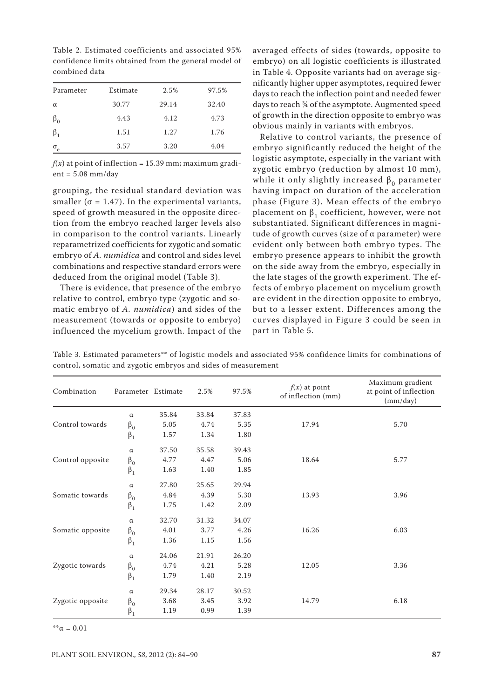| Parameter  | Estimate | 2.5%  | 97.5% |
|------------|----------|-------|-------|
| $\alpha$   | 30.77    | 29.14 | 32.40 |
| $\beta_0$  | 4.43     | 4.12  | 4.73  |
| $\beta_1$  | 1.51     | 1.27  | 1.76  |
| $\sigma_e$ | 3.57     | 3.20  | 4.04  |

Table 2. Estimated coefficients and associated 95% confidence limits obtained from the general model of combined data

 $f(x)$  at point of inflection = 15.39 mm; maximum gradi $ent = 5.08$  mm/day

grouping, the residual standard deviation was smaller ( $\sigma$  = 1.47). In the experimental variants, speed of growth measured in the opposite direction from the embryo reached larger levels also in comparison to the control variants. Linearly reparametrized coefficients for zygotic and somatic embryo of *A. numidica* and control and sides level combinations and respective standard errors were deduced from the original model (Table 3).

There is evidence, that presence of the embryo relative to control, embryo type (zygotic and somatic embryo of *A. numidica*) and sides of the measurement (towards or opposite to embryo) influenced the mycelium growth. Impact of the

averaged effects of sides (towards, opposite to embryo) on all logistic coefficients is illustrated in Table 4. Opposite variants had on average significantly higher upper asymptotes, required fewer days to reach the inflection point and needed fewer days to reach ¾ of the asymptote. Augmented speed of growth in the direction opposite to embryo was obvious mainly in variants with embryos.

Relative to control variants, the presence of embryo significantly reduced the height of the logistic asymptote, especially in the variant with zygotic embryo (reduction by almost 10 mm), while it only slightly increased  $\beta_0$  parameter having impact on duration of the acceleration phase (Figure 3). Mean effects of the embryo placement on  $β_1$  coefficient, however, were not substantiated. Significant differences in magnitude of growth curves (size of  $\alpha$  parameter) were evident only between both embryo types. The embryo presence appears to inhibit the growth on the side away from the embryo, especially in the late stages of the growth experiment. The effects of embryo placement on mycelium growth are evident in the direction opposite to embryo, but to a lesser extent. Differences among the curves displayed in Figure 3 could be seen in part in Table 5.

Table 3. Estimated parameters\*\* of logistic models and associated 95% confidence limits for combinations of control, somatic and zygotic embryos and sides of measurement

| Combination      | Parameter Estimate |       | 2.5%  | 97.5% | $f(x)$ at point<br>of inflection (mm) | Maximum gradient<br>at point of inflection<br>(mm/day) |
|------------------|--------------------|-------|-------|-------|---------------------------------------|--------------------------------------------------------|
|                  | $\alpha$           | 35.84 | 33.84 | 37.83 |                                       |                                                        |
| Control towards  | $\beta_0$          | 5.05  | 4.74  | 5.35  | 17.94                                 | 5.70                                                   |
|                  | $\beta_1$          | 1.57  | 1.34  | 1.80  |                                       |                                                        |
| Control opposite | $\alpha$           | 37.50 | 35.58 | 39.43 |                                       |                                                        |
|                  | $\beta_0$          | 4.77  | 4.47  | 5.06  | 18.64                                 | 5.77                                                   |
|                  | $\beta_1$          | 1.63  | 1.40  | 1.85  |                                       |                                                        |
|                  | $\alpha$           | 27.80 | 25.65 | 29.94 |                                       |                                                        |
| Somatic towards  | $\beta_0$          | 4.84  | 4.39  | 5.30  | 13.93                                 | 3.96                                                   |
|                  | $\beta_1$          | 1.75  | 1.42  | 2.09  |                                       |                                                        |
| Somatic opposite | $\alpha$           | 32.70 | 31.32 | 34.07 |                                       |                                                        |
|                  | $\beta_0$          | 4.01  | 3.77  | 4.26  | 16.26                                 | 6.03                                                   |
|                  | $\beta_1$          | 1.36  | 1.15  | 1.56  |                                       |                                                        |
|                  | $\alpha$           | 24.06 | 21.91 | 26.20 |                                       |                                                        |
| Zygotic towards  | $\beta_0$          | 4.74  | 4.21  | 5.28  | 12.05                                 | 3.36                                                   |
|                  | $\beta_1$          | 1.79  | 1.40  | 2.19  |                                       |                                                        |
|                  | $\alpha$           | 29.34 | 28.17 | 30.52 |                                       |                                                        |
| Zygotic opposite | $\beta_0$          | 3.68  | 3.45  | 3.92  | 14.79                                 | 6.18                                                   |
|                  | $\beta_1$          | 1.19  | 0.99  | 1.39  |                                       |                                                        |

 $*_{\alpha} = 0.01$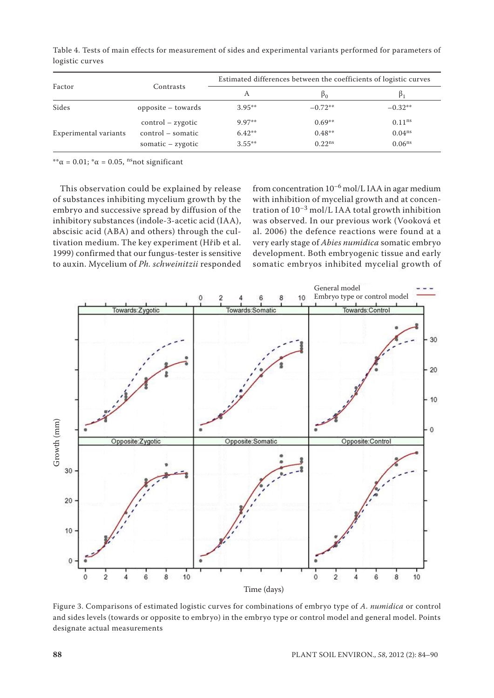| Factor                | Contrasts           | Estimated differences between the coefficients of logistic curves |                |                    |  |
|-----------------------|---------------------|-------------------------------------------------------------------|----------------|--------------------|--|
|                       |                     | А                                                                 | P <sub>0</sub> | $\beta_1$          |  |
| Sides                 | opposite – towards  | $3.95**$                                                          | $-0.72**$      | $-0.32**$          |  |
| Experimental variants | $control$ - zygotic | $9.97**$                                                          | $0.69**$       | $0.11^{ns}$        |  |
|                       | control – somatic   | $6.42**$                                                          | $0.48**$       | 0.04 <sup>ns</sup> |  |
|                       | somatic $-$ zygotic | $3.55***$                                                         | $0.22^{ns}$    | 0.06 <sup>ns</sup> |  |

Table 4. Tests of main effects for measurement of sides and experimental variants performed for parameters of logistic curves

 $*<sup>*</sup>α = 0.01; *α = 0.05$ , <sup>ns</sup>not significant

This observation could be explained by release of substances inhibiting mycelium growth by the embryo and successive spread by diffusion of the inhibitory substances (indole-3-acetic acid (IAA), abscisic acid (ABA) and others) through the cultivation medium. The key experiment (Hřib et al. 1999) confirmed that our fungus-tester is sensitive to auxin. Mycelium of *Ph. schweinitzii* responded from concentration  $10^{-6}$  mol/L IAA in agar medium with inhibition of mycelial growth and at concentration of  $10^{-3}$  mol/L IAA total growth inhibition was observed. In our previous work (Vooková et al. 2006) the defence reactions were found at a very early stage of *Abies numidica* somatic embryo development. Both embryogenic tissue and early somatic embryos inhibited mycelial growth of



Figure 3. Comparisons of estimated logistic curves for combinations of embryo type of *A. numidica* or control and sides levels (towards or opposite to embryo) in the embryo type or control model and general model. Points designate actual measurements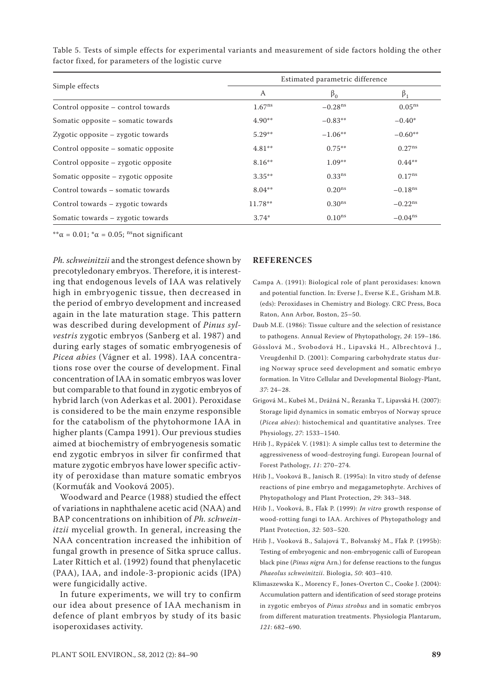|                                     | Estimated parametric difference |                    |                       |  |
|-------------------------------------|---------------------------------|--------------------|-----------------------|--|
| Simple effects                      | A                               | $\beta_0$          | $\beta_1$             |  |
| Control opposite – control towards  | $1.67^{ns}$                     | $-0.28ns$          | $0.05^{ns}$           |  |
| Somatic opposite – somatic towards  | $4.90**$                        | $-0.83**$          | $-0.40*$              |  |
| Zygotic opposite – zygotic towards  | $5.29**$                        | $-1.06**$          | $-0.60**$             |  |
| Control opposite – somatic opposite | $4.81***$                       | $0.75***$          | $0.27^{ns}$           |  |
| Control opposite – zygotic opposite | $8.16***$                       | $1.09**$           | $0.44***$             |  |
| Somatic opposite – zygotic opposite | $3.35***$                       | 0.33 <sup>ns</sup> | $0.17^{ns}$           |  |
| Control towards – somatic towards   | $8.04***$                       | $0.20^{ns}$        | $-0.18$ <sup>ns</sup> |  |
| Control towards – zygotic towards   | $11.78**$                       | 0.30 <sup>ns</sup> | $-0.22^{ns}$          |  |
| Somatic towards - zygotic towards   | $3.74*$                         | 0.10 <sup>ns</sup> | $-0.04^{\text{ns}}$   |  |

Table 5. Tests of simple effects for experimental variants and measurement of side factors holding the other factor fixed, for parameters of the logistic curve

\*\* $\alpha$  = 0.01; \* $\alpha$  = 0.05; <sup>ns</sup>not significant

*Ph. schweinitzii* and the strongest defence shown by precotyledonary embryos. Therefore, it is interesting that endogenous levels of IAA was relatively high in embryogenic tissue, then decreased in the period of embryo development and increased again in the late maturation stage. This pattern was described during development of *Pinus sylvestris* zygotic embryos (Sanberg et al. 1987) and during early stages of somatic embryogenesis of *Picea abies* (Vágner et al. 1998). IAA concentrations rose over the course of development. Final concentration of IAA in somatic embryos was lover but comparable to that found in zygotic embryos of hybrid larch (von Aderkas et al. 2001). Peroxidase is considered to be the main enzyme responsible for the catabolism of the phytohormone IAA in higher plants (Campa 1991). Our previous studies aimed at biochemistry of embryogenesis somatic end zygotic embryos in silver fir confirmed that mature zygotic embryos have lower specific activity of peroxidase than mature somatic embryos (Kormuťák and Vooková 2005).

Woodward and Pearce (1988) studied the effect of variations in naphthalene acetic acid (NAA) and BAP concentrations on inhibition of *Ph. schweinitzii* mycelial growth. In general, increasing the NAA concentration increased the inhibition of fungal growth in presence of Sitka spruce callus. Later Rittich et al. (1992) found that phenylacetic (PAA), IAA, and indole-3-propionic acids (IPA) were fungicidally active.

In future experiments, we will try to confirm our idea about presence of IAA mechanism in defence of plant embryos by study of its basic isoperoxidases activity.

#### **REFERENCES**

- Campa A. (1991): Biological role of plant peroxidases: known and potential function. In: Everse J., Everse K.E., Grisham M.B. (eds): Peroxidases in Chemistry and Biology. CRC Press, Boca Raton, Ann Arbor, Boston, 25–50.
- Daub M.E. (1986): Tissue culture and the selection of resistance to pathogens. Annual Review of Phytopathology, *24*: 159–186.
- Gösslová M., Svobodová H., Lipavská H., Albrechtová J., Vreugdenhil D. (2001): Comparing carbohydrate status during Norway spruce seed development and somatic embryo formation. In Vitro Cellular and Developmental Biology-Plant, *37*: 24–28.
- Grigová M., Kubeš M., Drážná N., Řezanka T., Lipavská H. (2007): Storage lipid dynamics in somatic embryos of Norway spruce (*Picea abies*): histochemical and quantitative analyses. Tree Physiology, *27*: 1533–1540.
- Hřib J., Rypáček V. (1981): A simple callus test to determine the aggressiveness of wood-destroying fungi. European Journal of Forest Pathology, *11*: 270–274.
- Hřib J., Vooková B., Janisch R. (1995a): In vitro study of defense reactions of pine embryo and megagametophyte. Archives of Phytopathology and Plant Protection, *29*: 343–348.
- Hřib J., Vooková, B., Fľak P. (1999): *In vitro* growth response of wood-rotting fungi to IAA. Archives of Phytopathology and Plant Protection, *32*: 503–520.
- Hřib J., Vooková B., Salajová T., Bolvanský M., Fľak P. (1995b): Testing of embryogenic and non-embryogenic calli of European black pine (*Pinus nigra* Arn.) for defense reactions to the fungus *Phaeolus schweinitzii*. Biologia, *50*: 403–410.
- Klimaszewska K., Morency F., Jones-Overton C., Cooke J. (2004): Accumulation pattern and identification of seed storage proteins in zygotic embryos of *Pinus strobus* and in somatic embryos from different maturation treatments. Physiologia Plantarum, *121*: 682–690.